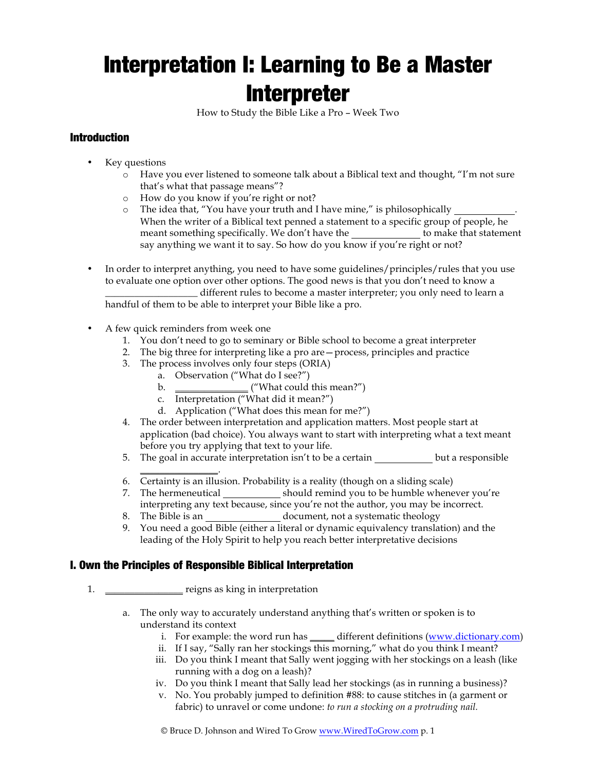# Interpretation I: Learning to Be a Master Interpreter

How to Study the Bible Like a Pro – Week Two

# Introduction

- Key questions
	- o Have you ever listened to someone talk about a Biblical text and thought, "I'm not sure that's what that passage means"?
	- o How do you know if you're right or not?
	- o The idea that, "You have your truth and I have mine," is philosophically . When the writer of a Biblical text penned a statement to a specific group of people, he meant something specifically. We don't have the to make that statement say anything we want it to say. So how do you know if you're right or not?
- In order to interpret anything, you need to have some guidelines/principles/rules that you use to evaluate one option over other options. The good news is that you don't need to know a different rules to become a master interpreter; you only need to learn a handful of them to be able to interpret your Bible like a pro.
- A few quick reminders from week one
	- 1. You don't need to go to seminary or Bible school to become a great interpreter
	- 2. The big three for interpreting like a pro are—process, principles and practice
	- 3. The process involves only four steps (ORIA)
		- a. Observation ("What do I see?")
			- b.  $(''What could this mean?")$
			- c. Interpretation ("What did it mean?")
		- d. Application ("What does this mean for me?")
	- 4. The order between interpretation and application matters. Most people start at application (bad choice). You always want to start with interpreting what a text meant before you try applying that text to your life.
	- 5. The goal in accurate interpretation isn't to be a certain \_\_\_\_\_\_\_\_\_ but a responsible
	- \_\_\_\_\_\_\_\_\_\_\_\_\_\_\_\_. 6. Certainty is an illusion. Probability is a reality (though on a sliding scale)
	- 7. The hermeneutical should remind you to be humble whenever you're interpreting any text because, since you're not the author, you may be incorrect.
	- 8. The Bible is an document, not a systematic theology
	- 9. You need a good Bible (either a literal or dynamic equivalency translation) and the leading of the Holy Spirit to help you reach better interpretative decisions

## I. Own the Principles of Responsible Biblical Interpretation

- 1. \_\_\_\_\_\_\_\_\_\_\_\_\_\_\_\_ reigns as king in interpretation
	- a. The only way to accurately understand anything that's written or spoken is to understand its context
		- i. For example: the word run has \_\_\_\_\_\_ different definitions (www.dictionary.com)
		- ii. If I say, "Sally ran her stockings this morning," what do you think I meant?
		- iii. Do you think I meant that Sally went jogging with her stockings on a leash (like running with a dog on a leash)?
		- iv. Do you think I meant that Sally lead her stockings (as in running a business)?
		- v. No. You probably jumped to definition #88: to cause stitches in (a garment or fabric) to unravel or come undone: *to run a stocking on a protruding nail.*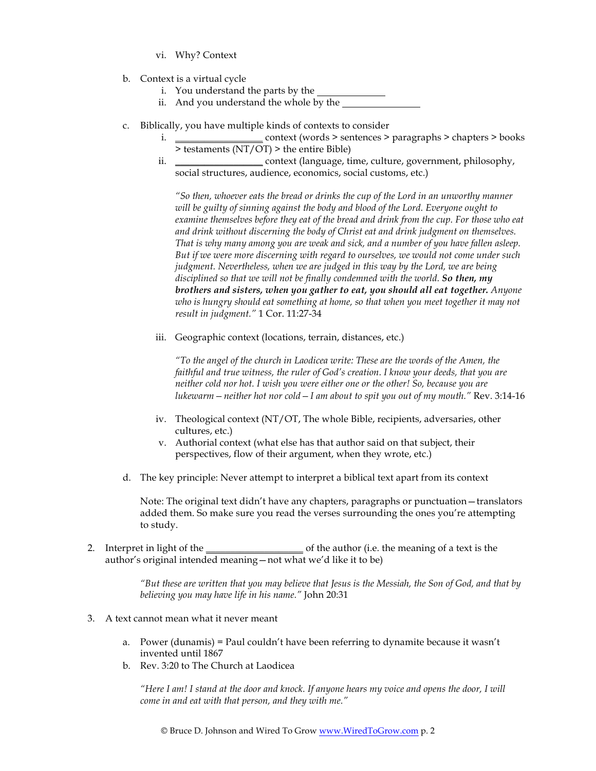- vi. Why? Context
- b. Context is a virtual cycle
	- i. You understand the parts by the
	- ii. And you understand the whole by the
- c. Biblically, you have multiple kinds of contexts to consider
	- i. \_\_\_\_\_\_\_\_\_\_\_\_\_\_\_\_\_\_ context (words > sentences > paragraphs > chapters > books > testaments (NT/OT) > the entire Bible)
	- ii. \_\_\_\_\_\_\_\_\_\_\_\_\_\_\_\_\_\_ context (language, time, culture, government, philosophy, social structures, audience, economics, social customs, etc.)

*"So then, whoever eats the bread or drinks the cup of the Lord in an unworthy manner will be guilty of sinning against the body and blood of the Lord. Everyone ought to examine themselves before they eat of the bread and drink from the cup. For those who eat and drink without discerning the body of Christ eat and drink judgment on themselves. That is why many among you are weak and sick, and a number of you have fallen asleep. But if we were more discerning with regard to ourselves, we would not come under such judgment. Nevertheless, when we are judged in this way by the Lord, we are being disciplined so that we will not be finally condemned with the world. So then, my brothers and sisters, when you gather to eat, you should all eat together. Anyone who is hungry should eat something at home, so that when you meet together it may not result in judgment."* 1 Cor. 11:27-34

iii. Geographic context (locations, terrain, distances, etc.)

*"To the angel of the church in Laodicea write: These are the words of the Amen, the faithful and true witness, the ruler of God's creation. I know your deeds, that you are neither cold nor hot. I wish you were either one or the other! So, because you are lukewarm—neither hot nor cold—I am about to spit you out of my mouth."* Rev. 3:14-16

- iv. Theological context (NT/OT, The whole Bible, recipients, adversaries, other cultures, etc.)
- v. Authorial context (what else has that author said on that subject, their perspectives, flow of their argument, when they wrote, etc.)
- d. The key principle: Never attempt to interpret a biblical text apart from its context

Note: The original text didn't have any chapters, paragraphs or punctuation—translators added them. So make sure you read the verses surrounding the ones you're attempting to study.

2. Interpret in light of the \_\_\_\_\_\_\_\_\_\_\_\_\_\_\_\_\_\_\_\_ of the author (i.e. the meaning of a text is the author's original intended meaning—not what we'd like it to be)

> *"But these are written that you may believe that Jesus is the Messiah, the Son of God, and that by believing you may have life in his name."* John 20:31

- 3. A text cannot mean what it never meant
	- a. Power (dunamis) = Paul couldn't have been referring to dynamite because it wasn't invented until 1867
	- b. Rev. 3:20 to The Church at Laodicea

*"Here I am! I stand at the door and knock. If anyone hears my voice and opens the door, I will come in and eat with that person, and they with me."*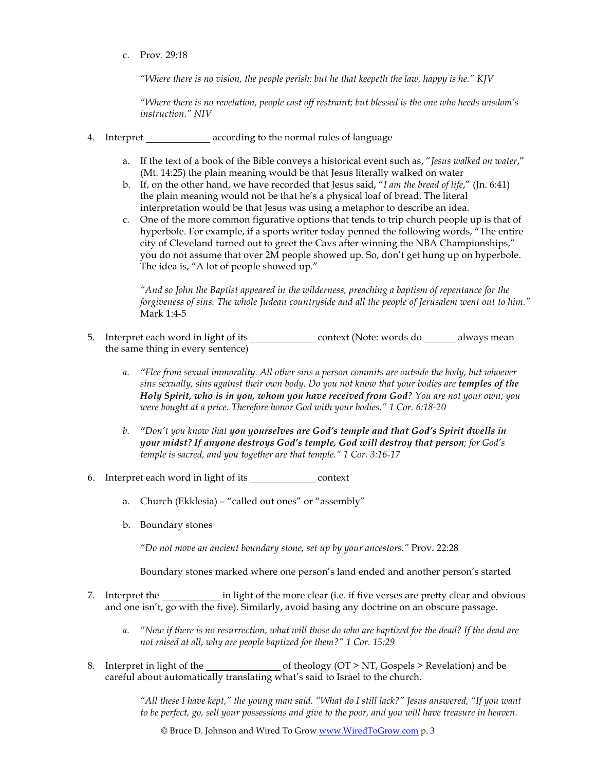c. Prov. 29:18

*"Where there is no vision, the people perish: but he that keepeth the law, happy is he." KJV*

*"Where there is no revelation, people cast off restraint; but blessed is the one who heeds wisdom's instruction." NIV*

- 4. Interpret according to the normal rules of language
	- a. If the text of a book of the Bible conveys a historical event such as, "*Jesus walked on water*," (Mt. 14:25) the plain meaning would be that Jesus literally walked on water
	- b. If, on the other hand, we have recorded that Jesus said, "*I am the bread of life*," (Jn. 6:41) the plain meaning would not be that he's a physical loaf of bread. The literal interpretation would be that Jesus was using a metaphor to describe an idea.
	- c. One of the more common figurative options that tends to trip church people up is that of hyperbole. For example, if a sports writer today penned the following words, "The entire city of Cleveland turned out to greet the Cavs after winning the NBA Championships," you do not assume that over 2M people showed up. So, don't get hung up on hyperbole. The idea is, "A lot of people showed up."

*"And so John the Baptist appeared in the wilderness, preaching a baptism of repentance for the forgiveness of sins. The whole Judean countryside and all the people of Jerusalem went out to him."*  Mark 1:4-5

- 5. Interpret each word in light of its context (Note: words do \_\_\_\_\_ always mean the same thing in every sentence)
	- *a. "Flee from sexual immorality. All other sins a person commits are outside the body, but whoever sins sexually, sins against their own body. Do you not know that your bodies are temples of the Holy Spirit, who is in you, whom you have received from God? You are not your own; you were bought at a price. Therefore honor God with your bodies." 1 Cor. 6:18-20*
	- *b. "Don't you know that you yourselves are God's temple and that God's Spirit dwells in your midst? If anyone destroys God's temple, God will destroy that person; for God's temple is sacred, and you together are that temple." 1 Cor. 3:16-17*
- 6. Interpret each word in light of its context
	- a. Church (Ekklesia) "called out ones" or "assembly"
	- b. Boundary stones

*"Do not move an ancient boundary stone, set up by your ancestors."* Prov. 22:28

Boundary stones marked where one person's land ended and another person's started

- 7. Interpret the in light of the more clear (i.e. if five verses are pretty clear and obvious and one isn't, go with the five). Similarly, avoid basing any doctrine on an obscure passage.
	- *a. "Now if there is no resurrection, what will those do who are baptized for the dead? If the dead are not raised at all, why are people baptized for them?" 1 Cor. 15:29*
- 8. Interpret in light of the of theology (OT > NT, Gospels > Revelation) and be careful about automatically translating what's said to Israel to the church.

*"All these I have kept," the young man said. "What do I still lack?" Jesus answered, "If you want to be perfect, go, sell your possessions and give to the poor, and you will have treasure in heaven.* 

© Bruce D. Johnson and Wired To Grow www.WiredToGrow.com p. 3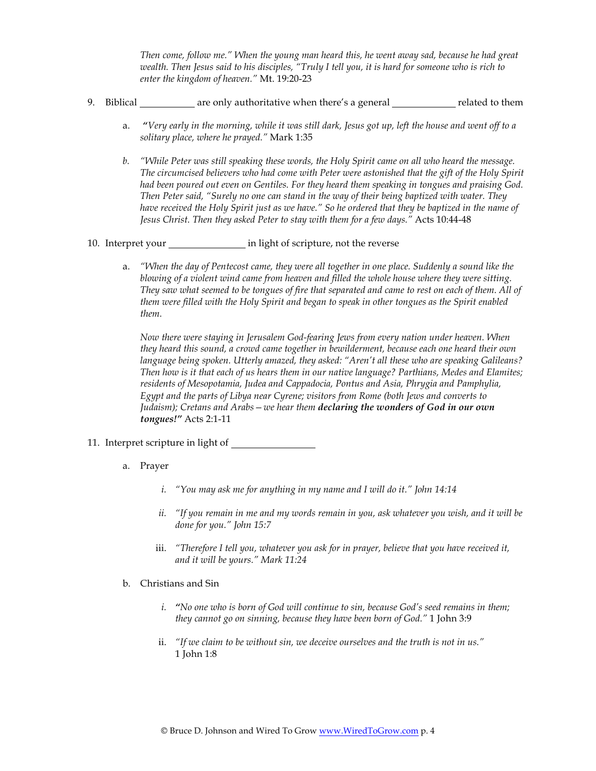*Then come, follow me." When the young man heard this, he went away sad, because he had great wealth. Then Jesus said to his disciples, "Truly I tell you, it is hard for someone who is rich to enter the kingdom of heaven."* Mt. 19:20-23

- 9. Biblical are only authoritative when there's a general related to them
	- a. *"Very early in the morning, while it was still dark, Jesus got up, left the house and went off to a solitary place, where he prayed."* Mark 1:35
	- *b. "While Peter was still speaking these words, the Holy Spirit came on all who heard the message. The circumcised believers who had come with Peter were astonished that the gift of the Holy Spirit had been poured out even on Gentiles. For they heard them speaking in tongues and praising God. Then Peter said, "Surely no one can stand in the way of their being baptized with water. They have received the Holy Spirit just as we have." So he ordered that they be baptized in the name of Jesus Christ. Then they asked Peter to stay with them for a few days."* Acts 10:44-48
- 10. Interpret your in light of scripture, not the reverse
	- a. *"When the day of Pentecost came, they were all together in one place. Suddenly a sound like the blowing of a violent wind came from heaven and filled the whole house where they were sitting. They saw what seemed to be tongues of fire that separated and came to rest on each of them. All of them were filled with the Holy Spirit and began to speak in other tongues as the Spirit enabled them.*

*Now there were staying in Jerusalem God-fearing Jews from every nation under heaven. When they heard this sound, a crowd came together in bewilderment, because each one heard their own language being spoken. Utterly amazed, they asked: "Aren't all these who are speaking Galileans? Then how is it that each of us hears them in our native language? Parthians, Medes and Elamites; residents of Mesopotamia, Judea and Cappadocia, Pontus and Asia, Phrygia and Pamphylia, Egypt and the parts of Libya near Cyrene; visitors from Rome (both Jews and converts to Judaism); Cretans and Arabs—we hear them declaring the wonders of God in our own tongues!"* Acts 2:1-11

- 11. Interpret scripture in light of
	- a. Prayer
		- *i. "You may ask me for anything in my name and I will do it." John 14:14*
		- *ii. "If you remain in me and my words remain in you, ask whatever you wish, and it will be done for you." John 15:7*
		- iii. *"Therefore I tell you, whatever you ask for in prayer, believe that you have received it, and it will be yours." Mark 11:24*
	- b. Christians and Sin
		- *i. "No one who is born of God will continue to sin, because God's seed remains in them; they cannot go on sinning, because they have been born of God."* 1 John 3:9
		- ii. *"If we claim to be without sin, we deceive ourselves and the truth is not in us."* 1 John 1:8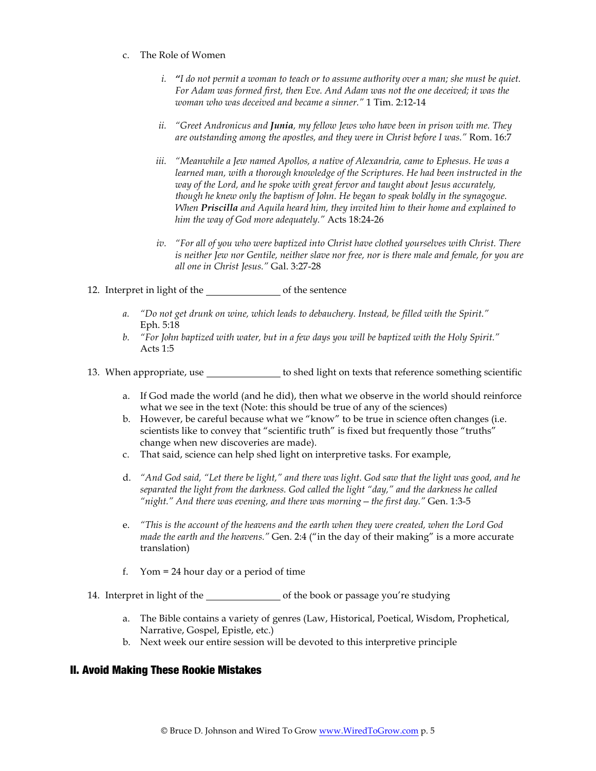#### c. The Role of Women

- *i. "I do not permit a woman to teach or to assume authority over a man; she must be quiet. For Adam was formed first, then Eve. And Adam was not the one deceived; it was the woman who was deceived and became a sinner."* 1 Tim. 2:12-14
- *ii. "Greet Andronicus and Junia, my fellow Jews who have been in prison with me. They are outstanding among the apostles, and they were in Christ before I was."* Rom. 16:7
- *iii. "Meanwhile a Jew named Apollos, a native of Alexandria, came to Ephesus. He was a learned man, with a thorough knowledge of the Scriptures. He had been instructed in the way of the Lord, and he spoke with great fervor and taught about Jesus accurately, though he knew only the baptism of John. He began to speak boldly in the synagogue. When Priscilla and Aquila heard him, they invited him to their home and explained to him the way of God more adequately."* Acts 18:24-26
- *iv. "For all of you who were baptized into Christ have clothed yourselves with Christ. There is neither Jew nor Gentile, neither slave nor free, nor is there male and female, for you are all one in Christ Jesus."* Gal. 3:27-28
- 12. Interpret in light of the of the sentence
	- *a. "Do not get drunk on wine, which leads to debauchery. Instead, be filled with the Spirit."*  Eph. 5:18
	- *b. "For John baptized with water, but in a few days you will be baptized with the Holy Spirit."*  Acts 1:5
- 13. When appropriate, use \_\_\_\_\_\_\_\_\_\_\_\_\_\_\_ to shed light on texts that reference something scientific
	- a. If God made the world (and he did), then what we observe in the world should reinforce what we see in the text (Note: this should be true of any of the sciences)
	- b. However, be careful because what we "know" to be true in science often changes (i.e. scientists like to convey that "scientific truth" is fixed but frequently those "truths" change when new discoveries are made).
	- c. That said, science can help shed light on interpretive tasks. For example,
	- d. *"And God said, "Let there be light," and there was light. God saw that the light was good, and he separated the light from the darkness. God called the light "day," and the darkness he called "night." And there was evening, and there was morning—the first day."* Gen. 1:3-5
	- e. *"This is the account of the heavens and the earth when they were created, when the Lord God made the earth and the heavens."* Gen. 2:4 ("in the day of their making" is a more accurate translation)
	- f. Yom = 24 hour day or a period of time
- 14. Interpret in light of the office of the book or passage you're studying
	- a. The Bible contains a variety of genres (Law, Historical, Poetical, Wisdom, Prophetical, Narrative, Gospel, Epistle, etc.)
	- b. Next week our entire session will be devoted to this interpretive principle

## II. Avoid Making These Rookie Mistakes